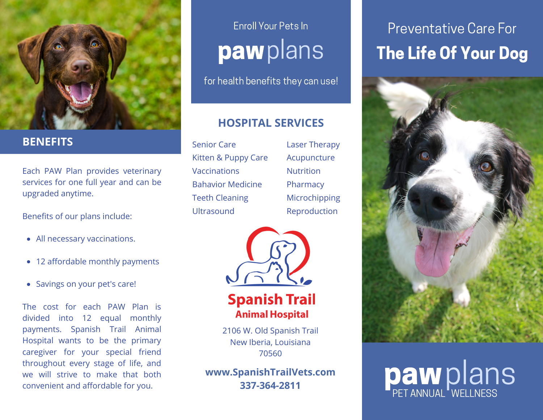

### **BENEFITS**

Each PAW Plan provides veterinary services for one full year and can be upgraded anytime.

Benefits of our plans include:

- All necessary vaccinations.
- 12 affordable monthly payments
- Savings on your pet's care!

The cost for each PAW Plan is divided into 12 equal monthly payments. Spanish Trail Animal Hospital wants to be the primary caregiver for your special friend throughout every stage of life, and we will strive to make that both convenient and affordable for you.

## Enroll Your Pets In pawplans

for health benefits they can use!

### **HOSPITAL SERVICES**

Senior Care Kitten & Puppy Care **Vaccinations** Bahavior Medicine Teeth Cleaning Ultrasound

Laser Therapy Acupuncture Nutrition Pharmacy Microchipping Reproduction



**Spanish Trail Animal Hospital** 

2106 W. Old Spanish Trail New Iberia, Louisiana 70560

**www.SpanishTrailVets.com 337-364-2811**

### The Life Of Your Dog Preventative Care For



# pawplans PET ANNUAL <sup>"</sup>WELLNESS